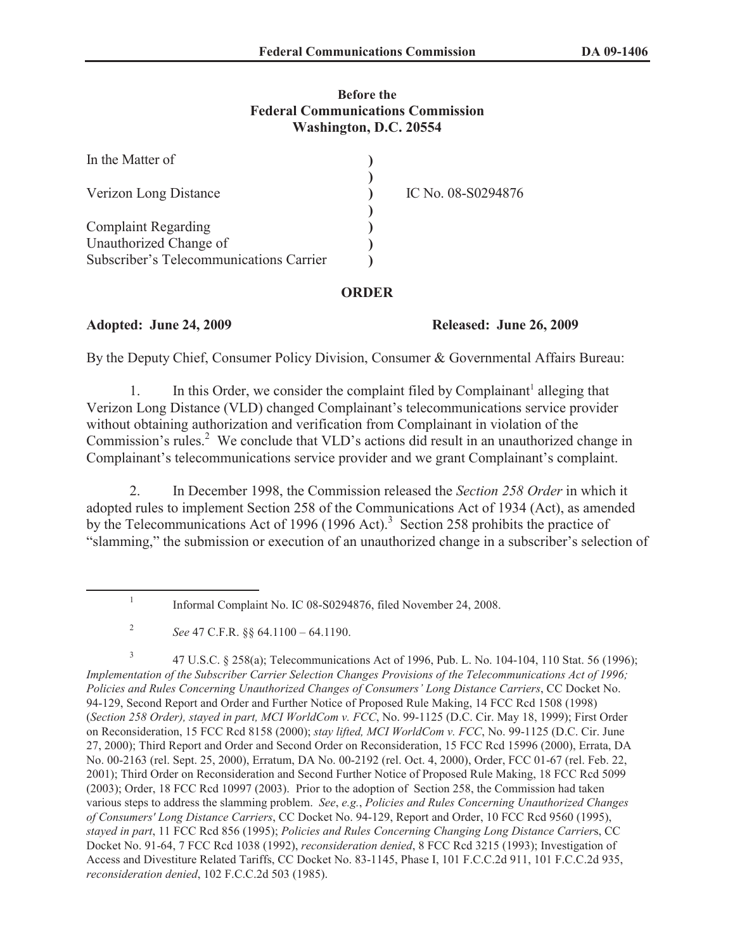## **Before the Federal Communications Commission Washington, D.C. 20554**

| In the Matter of                        |                    |
|-----------------------------------------|--------------------|
| Verizon Long Distance                   | IC No. 08-S0294876 |
| <b>Complaint Regarding</b>              |                    |
| Unauthorized Change of                  |                    |
| Subscriber's Telecommunications Carrier |                    |

## **ORDER**

# **Adopted: June 24, 2009 Released: June 26, 2009**

By the Deputy Chief, Consumer Policy Division, Consumer & Governmental Affairs Bureau:

1. In this Order, we consider the complaint filed by Complainant<sup>1</sup> alleging that Verizon Long Distance (VLD) changed Complainant's telecommunications service provider without obtaining authorization and verification from Complainant in violation of the Commission's rules.<sup>2</sup> We conclude that VLD's actions did result in an unauthorized change in Complainant's telecommunications service provider and we grant Complainant's complaint.

2. In December 1998, the Commission released the *Section 258 Order* in which it adopted rules to implement Section 258 of the Communications Act of 1934 (Act), as amended by the Telecommunications Act of 1996 (1996 Act).<sup>3</sup> Section 258 prohibits the practice of "slamming," the submission or execution of an unauthorized change in a subscriber's selection of

3 47 U.S.C. § 258(a); Telecommunications Act of 1996, Pub. L. No. 104-104, 110 Stat. 56 (1996); *Implementation of the Subscriber Carrier Selection Changes Provisions of the Telecommunications Act of 1996; Policies and Rules Concerning Unauthorized Changes of Consumers' Long Distance Carriers*, CC Docket No. 94-129, Second Report and Order and Further Notice of Proposed Rule Making, 14 FCC Rcd 1508 (1998) (*Section 258 Order), stayed in part, MCI WorldCom v. FCC*, No. 99-1125 (D.C. Cir. May 18, 1999); First Order on Reconsideration, 15 FCC Rcd 8158 (2000); *stay lifted, MCI WorldCom v. FCC*, No. 99-1125 (D.C. Cir. June 27, 2000); Third Report and Order and Second Order on Reconsideration, 15 FCC Rcd 15996 (2000), Errata, DA No. 00-2163 (rel. Sept. 25, 2000), Erratum, DA No. 00-2192 (rel. Oct. 4, 2000), Order, FCC 01-67 (rel. Feb. 22, 2001); Third Order on Reconsideration and Second Further Notice of Proposed Rule Making, 18 FCC Rcd 5099 (2003); Order, 18 FCC Rcd 10997 (2003). Prior to the adoption of Section 258, the Commission had taken various steps to address the slamming problem. *See*, *e.g.*, *Policies and Rules Concerning Unauthorized Changes of Consumers' Long Distance Carriers*, CC Docket No. 94-129, Report and Order, 10 FCC Rcd 9560 (1995), *stayed in part*, 11 FCC Rcd 856 (1995); *Policies and Rules Concerning Changing Long Distance Carrier*s, CC Docket No. 91-64, 7 FCC Rcd 1038 (1992), *reconsideration denied*, 8 FCC Rcd 3215 (1993); Investigation of Access and Divestiture Related Tariffs, CC Docket No. 83-1145, Phase I, 101 F.C.C.2d 911, 101 F.C.C.2d 935, *reconsideration denied*, 102 F.C.C.2d 503 (1985).

<sup>1</sup> Informal Complaint No. IC 08-S0294876, filed November 24, 2008.

<sup>2</sup> *See* 47 C.F.R. §§ 64.1100 – 64.1190.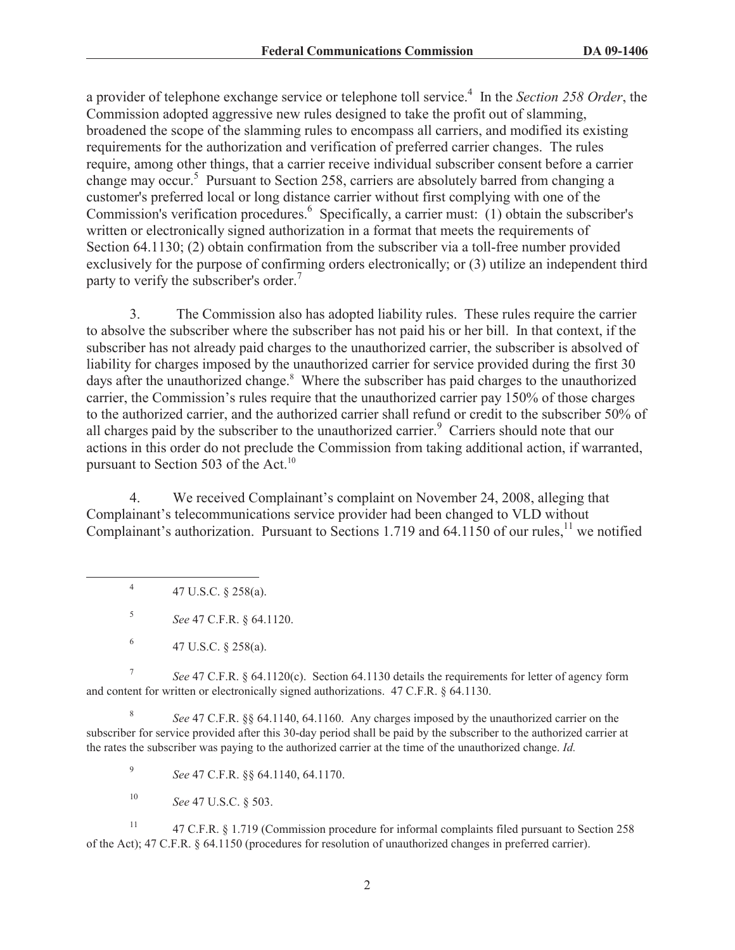a provider of telephone exchange service or telephone toll service.<sup>4</sup> In the *Section 258 Order*, the Commission adopted aggressive new rules designed to take the profit out of slamming, broadened the scope of the slamming rules to encompass all carriers, and modified its existing requirements for the authorization and verification of preferred carrier changes. The rules require, among other things, that a carrier receive individual subscriber consent before a carrier change may occur.<sup>5</sup> Pursuant to Section 258, carriers are absolutely barred from changing a customer's preferred local or long distance carrier without first complying with one of the Commission's verification procedures.<sup>6</sup> Specifically, a carrier must: (1) obtain the subscriber's written or electronically signed authorization in a format that meets the requirements of Section 64.1130; (2) obtain confirmation from the subscriber via a toll-free number provided exclusively for the purpose of confirming orders electronically; or (3) utilize an independent third party to verify the subscriber's order.<sup>7</sup>

3. The Commission also has adopted liability rules. These rules require the carrier to absolve the subscriber where the subscriber has not paid his or her bill. In that context, if the subscriber has not already paid charges to the unauthorized carrier, the subscriber is absolved of liability for charges imposed by the unauthorized carrier for service provided during the first 30 days after the unauthorized change.<sup>8</sup> Where the subscriber has paid charges to the unauthorized carrier, the Commission's rules require that the unauthorized carrier pay 150% of those charges to the authorized carrier, and the authorized carrier shall refund or credit to the subscriber 50% of all charges paid by the subscriber to the unauthorized carrier.<sup>9</sup> Carriers should note that our actions in this order do not preclude the Commission from taking additional action, if warranted, pursuant to Section 503 of the Act. $^{10}$ 

4. We received Complainant's complaint on November 24, 2008, alleging that Complainant's telecommunications service provider had been changed to VLD without Complainant's authorization. Pursuant to Sections 1.719 and 64.1150 of our rules,<sup>11</sup> we notified

4 47 U.S.C. § 258(a).

5 *See* 47 C.F.R. § 64.1120.

7 *See* 47 C.F.R. § 64.1120(c). Section 64.1130 details the requirements for letter of agency form and content for written or electronically signed authorizations. 47 C.F.R. § 64.1130.

8 *See* 47 C.F.R. §§ 64.1140, 64.1160. Any charges imposed by the unauthorized carrier on the subscriber for service provided after this 30-day period shall be paid by the subscriber to the authorized carrier at the rates the subscriber was paying to the authorized carrier at the time of the unauthorized change. *Id.*

9 *See* 47 C.F.R. §§ 64.1140, 64.1170.

<sup>10</sup> *See* 47 U.S.C. § 503.

<sup>11</sup> 47 C.F.R. § 1.719 (Commission procedure for informal complaints filed pursuant to Section 258 of the Act); 47 C.F.R. § 64.1150 (procedures for resolution of unauthorized changes in preferred carrier).

<sup>6</sup> 47 U.S.C. § 258(a).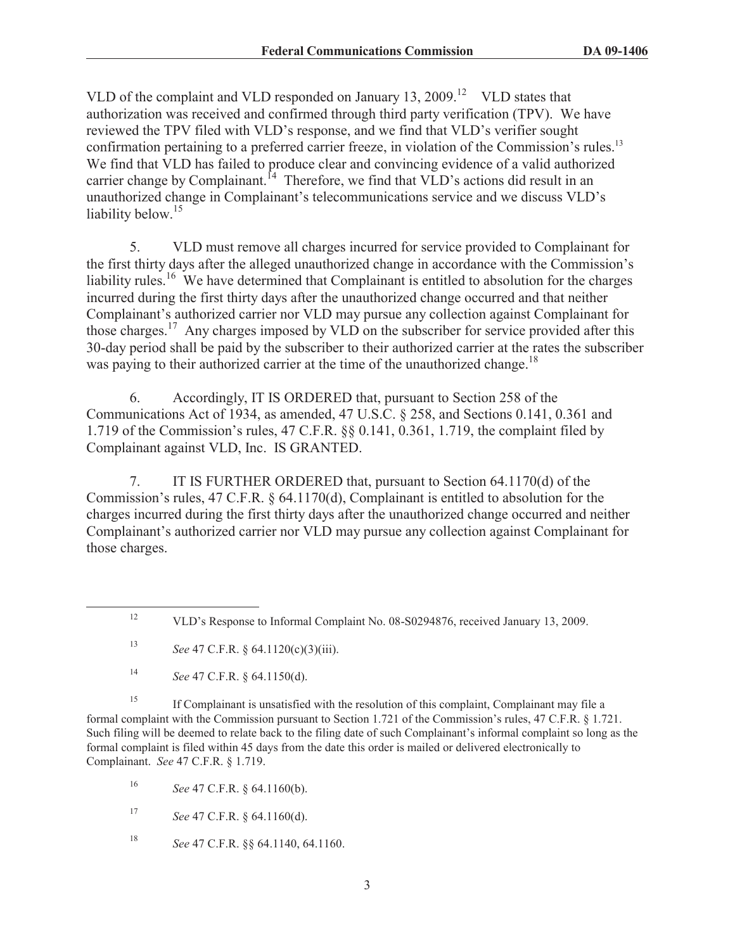VLD of the complaint and VLD responded on January  $13, 2009$ <sup>12</sup> VLD states that authorization was received and confirmed through third party verification (TPV). We have reviewed the TPV filed with VLD's response, and we find that VLD's verifier sought confirmation pertaining to a preferred carrier freeze, in violation of the Commission's rules.<sup>13</sup> We find that VLD has failed to produce clear and convincing evidence of a valid authorized carrier change by Complainant.<sup> $14$ </sup> Therefore, we find that VLD's actions did result in an unauthorized change in Complainant's telecommunications service and we discuss VLD's liability below.<sup>15</sup>

5. VLD must remove all charges incurred for service provided to Complainant for the first thirty days after the alleged unauthorized change in accordance with the Commission's liability rules.<sup>16</sup> We have determined that Complainant is entitled to absolution for the charges incurred during the first thirty days after the unauthorized change occurred and that neither Complainant's authorized carrier nor VLD may pursue any collection against Complainant for those charges.<sup>17</sup> Any charges imposed by VLD on the subscriber for service provided after this 30-day period shall be paid by the subscriber to their authorized carrier at the rates the subscriber was paying to their authorized carrier at the time of the unauthorized change.<sup>18</sup>

6. Accordingly, IT IS ORDERED that, pursuant to Section 258 of the Communications Act of 1934, as amended, 47 U.S.C. § 258, and Sections 0.141, 0.361 and 1.719 of the Commission's rules, 47 C.F.R. §§ 0.141, 0.361, 1.719, the complaint filed by Complainant against VLD, Inc. IS GRANTED.

7. IT IS FURTHER ORDERED that, pursuant to Section 64.1170(d) of the Commission's rules, 47 C.F.R. § 64.1170(d), Complainant is entitled to absolution for the charges incurred during the first thirty days after the unauthorized change occurred and neither Complainant's authorized carrier nor VLD may pursue any collection against Complainant for those charges.

<sup>15</sup> If Complainant is unsatisfied with the resolution of this complaint, Complainant may file a formal complaint with the Commission pursuant to Section 1.721 of the Commission's rules, 47 C.F.R. § 1.721. Such filing will be deemed to relate back to the filing date of such Complainant's informal complaint so long as the formal complaint is filed within 45 days from the date this order is mailed or delivered electronically to Complainant. *See* 47 C.F.R. § 1.719.

<sup>16</sup> *See* 47 C.F.R. § 64.1160(b).

<sup>17</sup> *See* 47 C.F.R. § 64.1160(d).

<sup>18</sup> *See* 47 C.F.R. §§ 64.1140, 64.1160.

<sup>&</sup>lt;sup>12</sup> VLD's Response to Informal Complaint No. 08-S0294876, received January 13, 2009.

<sup>13</sup> *See* 47 C.F.R. § 64.1120(c)(3)(iii).

<sup>14</sup> *See* 47 C.F.R. § 64.1150(d).